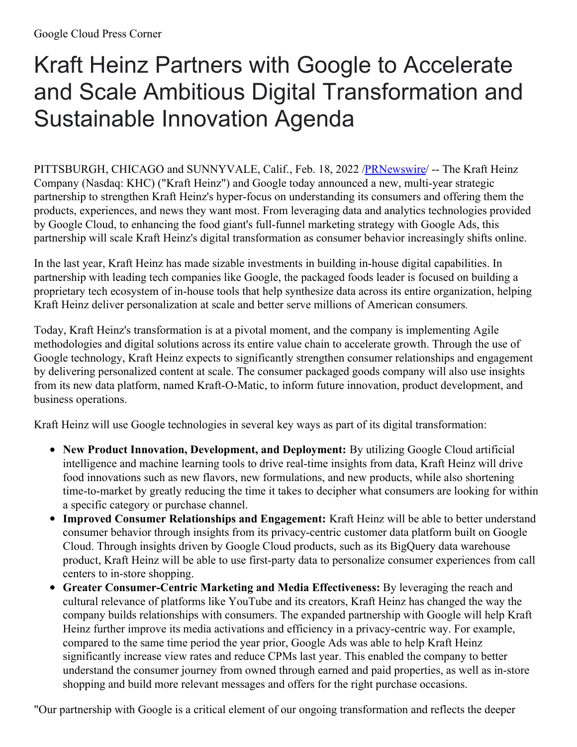## Kraft Heinz Partners with Google to Accelerate and Scale Ambitious Digital Transformation and Sustainable Innovation Agenda

PITTSBURGH, CHICAGO and SUNNYVALE, Calif., Feb. 18, 2022 [/PRNewswire](http://www.prnewswire.com/)/ -- The Kraft Heinz Company (Nasdaq: KHC) ("Kraft Heinz") and Google today announced a new, multi-year strategic partnership to strengthen Kraft Heinz's hyper-focus on understanding its consumers and offering them the products, experiences, and news they want most. From leveraging data and analytics technologies provided by Google Cloud, to enhancing the food giant's full-funnel marketing strategy with Google Ads, this partnership will scale Kraft Heinz's digital transformation as consumer behavior increasingly shifts online.

In the last year, Kraft Heinz has made sizable investments in building in-house digital capabilities. In partnership with leading tech companies like Google, the packaged foods leader is focused on building a proprietary tech ecosystem of in-house tools that help synthesize data across its entire organization, helping Kraft Heinz deliver personalization at scale and better serve millions of American consumers*.*

Today, Kraft Heinz's transformation is at a pivotal moment, and the company is implementing Agile methodologies and digital solutions across its entire value chain to accelerate growth. Through the use of Google technology, Kraft Heinz expects to significantly strengthen consumer relationships and engagement by delivering personalized content at scale. The consumer packaged goods company will also use insights from its new data platform, named Kraft-O-Matic, to inform future innovation, product development, and business operations.

Kraft Heinz will use Google technologies in several key ways as part of its digital transformation:

- **New Product Innovation, Development, and Deployment:** By utilizing Google Cloud artificial intelligence and machine learning tools to drive real-time insights from data, Kraft Heinz will drive food innovations such as new flavors, new formulations, and new products, while also shortening time-to-market by greatly reducing the time it takes to decipher what consumers are looking for within a specific category or purchase channel.
- **Improved Consumer Relationships and Engagement:** Kraft Heinz will be able to better understand consumer behavior through insights from its privacy-centric customer data platform built on Google Cloud. Through insights driven by Google Cloud products, such as its BigQuery data warehouse product, Kraft Heinz will be able to use first-party data to personalize consumer experiences from call centers to in-store shopping.
- **Greater Consumer-Centric Marketing and Media Effectiveness:** By leveraging the reach and cultural relevance of platforms like YouTube and its creators, Kraft Heinz has changed the way the company builds relationships with consumers. The expanded partnership with Google will help Kraft Heinz further improve its media activations and efficiency in a privacy-centric way. For example, compared to the same time period the year prior, Google Ads was able to help Kraft Heinz significantly increase view rates and reduce CPMs last year. This enabled the company to better understand the consumer journey from owned through earned and paid properties, as well as in-store shopping and build more relevant messages and offers for the right purchase occasions.

"Our partnership with Google is a critical element of our ongoing transformation and reflects the deeper